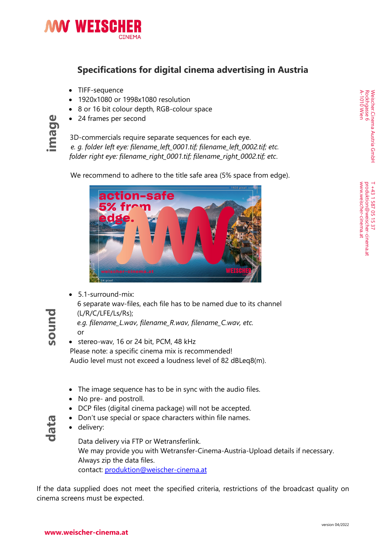

## **Specifications for digital cinema advertising in Austria**

- TIFF-sequence
- 1920x1080 or 1998x1080 resolution
- 8 or 16 bit colour depth, RGB-colour space
- 24 frames per second

4 COM COM 124 frames per second<br>3D-commercials require separate sequences for each eye.<br>2 e. q. folder left eye: filename left 0001.tif; filename left 000 *e. g. folder left eye: filename\_left\_0001.tif; filename\_left\_0002.tif; etc. folder right eye: filename\_right\_0001.tif; filename\_right\_0002.tif; etc*.

We recommend to adhere to the title safe area (5% space from edge).



- 5.1-surround-mix: 6 separate wav-files, each file has to be named due to its channel (L/R/C/LFE/Ls/Rs); *e.g. filename\_L.wav, filename\_R.wav, filename\_C.wav, etc.*
	- or • stereo-wav, 16 or 24 bit, PCM, 48 kHz

 Please note: a specific cinema mix is recommended! Audio level must not exceed a loudness level of 82 dBLeq8(m).

- The image sequence has to be in sync with the audio files.
- No pre- and postroll.
- DCP files (digital cinema package) will not be accepted.
- Don't use special or space characters within file names.
- delivery:

Data delivery via FTP or Wetransferlink. We may provide you with Wetransfer-Cinema-Austria-Upload details if necessary. Always zip the data files. contact: [produktion@weischer-cinema.at](mailto:produktion@weischer-cinema.at)

If the data supplied does not meet the specified criteria, restrictions of the broadcast quality on